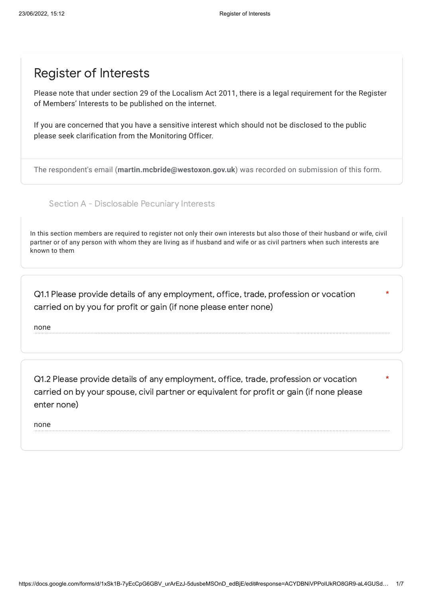## Register of Interests

Please note that under section 29 of the Localism Act 2011, there is a legal requirement for the Register of Members' Interests to be published on the internet.

If you are concerned that you have a sensitive interest which should not be disclosed to the public please seek clarification from the Monitoring Officer.

The respondent's email (**martin.mcbride@westoxon.gov.uk**) was recorded on submission of this form.

Section A - Disclosable Pecuniary Interests

In this section members are required to register not only their own interests but also those of their husband or wife, civil partner or of any person with whom they are living as if husband and wife or as civil partners when such interests are known to them

\*

\*

Q1.1 Please provide details of any employment, office, trade, profession or vocation carried on by you for profit or gain (if none please enter none)

none

Q1.2 Please provide details of any employment, office, trade, profession or vocation carried on by your spouse, civil partner or equivalent for profit or gain (if none please enter none)

none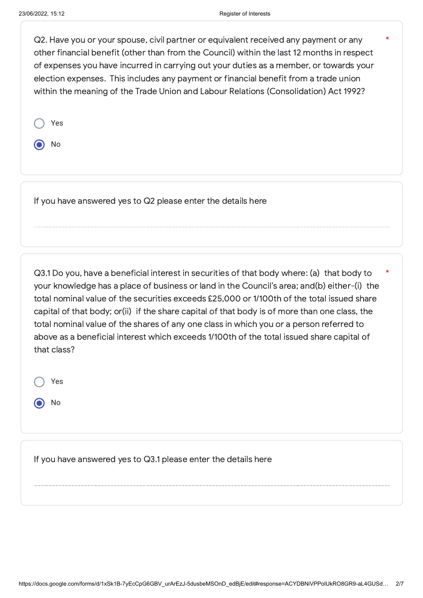\*

Q2. Have you or your spouse, civil partner or equivalent received any payment or any other financial benefit (other than from the Council) within the last 12 months in respect of expenses you have incurred in carrying out your duties as a member, or towards your election expenses. This includes any payment or financial benefit from a trade union within the meaning of the Trade Union and Labour Relations (Consolidation) Act 1992?

O No

If you have answered yes to Q2 please enter the details here

Q3.1 Do you, have a beneficial interest in securities of that body where: (a) that body to your knowledge has a place of business or land in the Council's area; and(b) either-(i) the total nominal value of the securities exceeds £25,000 or 1/100th of the total issued share capital of that body; or(ii) if the share capital of that body is of more than one class, the total nominal value of the shares of any one class in which you or a person referred to above as a beneficial interest which exceeds 1/100th of the total issued share capital of that class? \*

Yes No

If you have answered yes to Q3.1 please enter the details here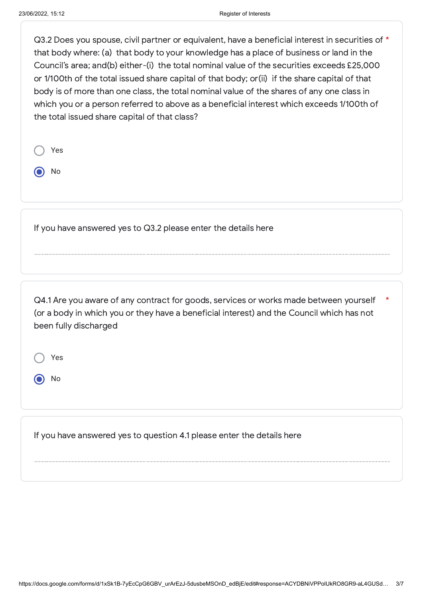$Q3.2$  Does vou spouse, civil partner or equivalent, have a beneficial interest in securities of  $*$ that body where: (a) that body to your knowledge has a place of business or land in the Council's area; and(b) either-(i) the total nominal value of the securities exceeds £25,000 or 1/100th of the total issued share capital of that body; or(ii) if the share capital of that body is of more than one class, the total nominal value of the shares of any one class in which you or a person referred to above as a beneficial interest which exceeds 1/100th of the total issued share capital of that class?

| $\bigcirc$ Yes |  |
|----------------|--|
| $\odot$ No     |  |
|                |  |
|                |  |

If you have answered yes to Q3.2 please enter the details here

Q4.1 Are you aware of any contract for goods, services or works made between yourself (or a body in which you or they have a beneficial interest) and the Council which has not been fully discharged \*

Yes

No

If you have answered yes to question 4.1 please enter the details here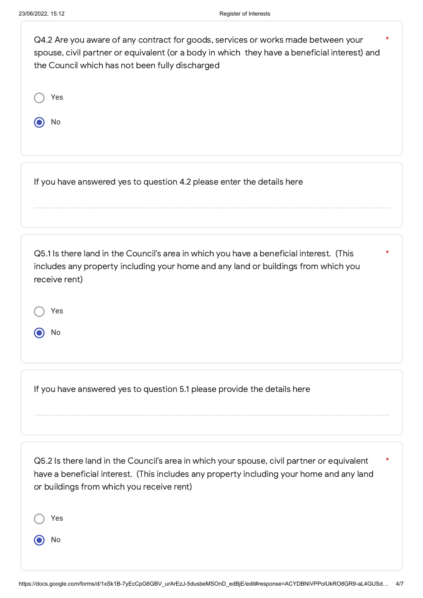| Q4.2 Are you aware of any contract for goods, services or works made between your<br>spouse, civil partner or equivalent (or a body in which they have a beneficial interest) and<br>the Council which has not been fully discharged | * |
|--------------------------------------------------------------------------------------------------------------------------------------------------------------------------------------------------------------------------------------|---|
| Yes                                                                                                                                                                                                                                  |   |
| No                                                                                                                                                                                                                                   |   |
|                                                                                                                                                                                                                                      |   |
| If you have answered yes to question 4.2 please enter the details here                                                                                                                                                               |   |
|                                                                                                                                                                                                                                      |   |
| Q5.1 Is there land in the Council's area in which you have a beneficial interest. (This<br>includes any property including your home and any land or buildings from which you<br>receive rent)                                       | * |

Yes

No

If you have answered yes to question 5.1 please provide the details here

Q5.2 Is there land in the Council's area in which your spouse, civil partner or equivalent have a beneficial interest. (This includes any property including your home and any land or buildings from which you receive rent) \*

Yes

No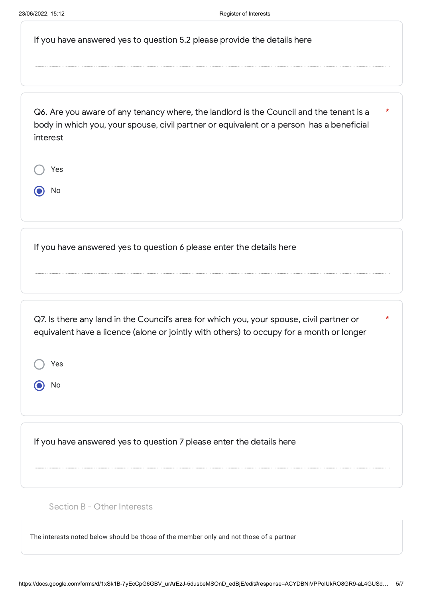|  | If you have answered yes to question 5.2 please provide the details here |
|--|--------------------------------------------------------------------------|
|--|--------------------------------------------------------------------------|

Q6. Are you aware of any tenancy where, the landlord is the Council and the tenant is a body in which you, your spouse, civil partner or equivalent or a person has a beneficial interest \*

|   | Yes |  |  |  |
|---|-----|--|--|--|
| 1 | No  |  |  |  |

If you have answered yes to question 6 please enter the details here

Q7. Is there any land in the Council's area for which you, your spouse, civil partner or equivalent have a licence (alone or jointly with others) to occupy for a month or longer

\*

Yes

No

If you have answered yes to question 7 please enter the details here

Section B - Other Interests

The interests noted below should be those of the member only and not those of a partner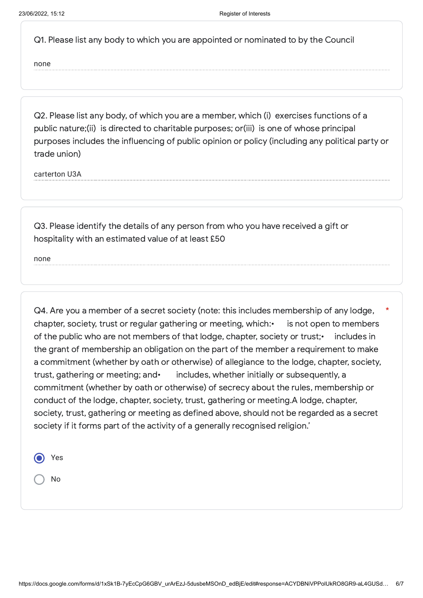Q1. Please list any body to which you are appointed or nominated to by the Council

none

Q2. Please list any body, of which you are a member, which (i) exercises functions of a public nature;(ii) is directed to charitable purposes; or(iii) is one of whose principal purposes includes the influencing of public opinion or policy (including any political party or trade union)

carterton U3A

Q3. Please identify the details of any person from who you have received a gift or hospitality with an estimated value of at least £50

none

Q4. Are you a member of a secret society (note: this includes membership of any lodge, chapter, society, trust or regular gathering or meeting, which: is not open to members of the public who are not members of that lodge, chapter, society or trust;• includes in the grant of membership an obligation on the part of the member a requirement to make a commitment (whether by oath or otherwise) of allegiance to the lodge, chapter, society, trust, gathering or meeting; and• includes, whether initially or subsequently, a commitment (whether by oath or otherwise) of secrecy about the rules, membership or conduct of the lodge, chapter, society, trust, gathering or meeting.A lodge, chapter, society, trust, gathering or meeting as defined above, should not be regarded as a secret society if it forms part of the activity of a generally recognised religion.' \*

| ( | Yes |
|---|-----|
|   | No  |